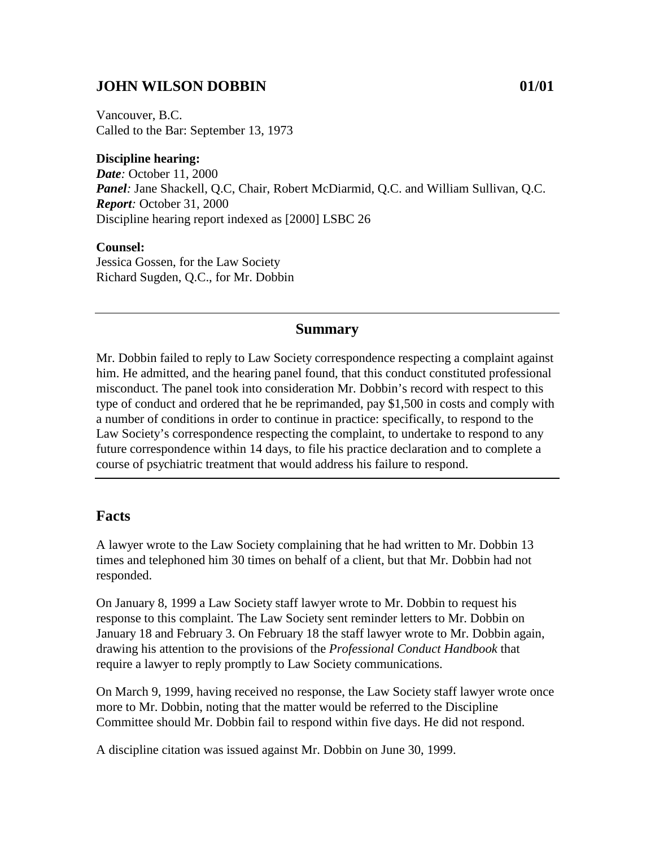### **JOHN WILSON DOBBIN 01/01**

Vancouver, B.C. Called to the Bar: September 13, 1973

**Discipline hearing:** *Date:* October 11, 2000 *Panel:* Jane Shackell, Q.C, Chair, Robert McDiarmid, Q.C. and William Sullivan, Q.C. *Report:* October 31, 2000 Discipline hearing report indexed as [2000] LSBC 26

**Counsel:** Jessica Gossen, for the Law Society Richard Sugden, Q.C., for Mr. Dobbin

#### **Summary**

Mr. Dobbin failed to reply to Law Society correspondence respecting a complaint against him. He admitted, and the hearing panel found, that this conduct constituted professional misconduct. The panel took into consideration Mr. Dobbin's record with respect to this type of conduct and ordered that he be reprimanded, pay \$1,500 in costs and comply with a number of conditions in order to continue in practice: specifically, to respond to the Law Society's correspondence respecting the complaint, to undertake to respond to any future correspondence within 14 days, to file his practice declaration and to complete a course of psychiatric treatment that would address his failure to respond.

#### **Facts**

A lawyer wrote to the Law Society complaining that he had written to Mr. Dobbin 13 times and telephoned him 30 times on behalf of a client, but that Mr. Dobbin had not responded.

On January 8, 1999 a Law Society staff lawyer wrote to Mr. Dobbin to request his response to this complaint. The Law Society sent reminder letters to Mr. Dobbin on January 18 and February 3. On February 18 the staff lawyer wrote to Mr. Dobbin again, drawing his attention to the provisions of the *Professional Conduct Handbook* that require a lawyer to reply promptly to Law Society communications.

On March 9, 1999, having received no response, the Law Society staff lawyer wrote once more to Mr. Dobbin, noting that the matter would be referred to the Discipline Committee should Mr. Dobbin fail to respond within five days. He did not respond.

A discipline citation was issued against Mr. Dobbin on June 30, 1999.